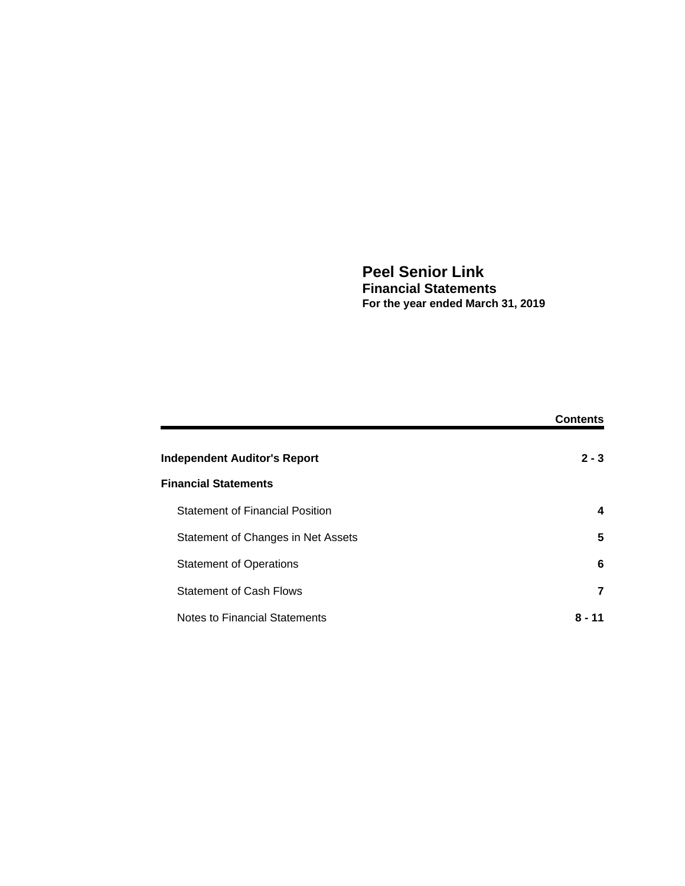### **Peel Senior Link Financial Statements For the year ended March 31, 2019**

|                                        | <b>Contents</b> |
|----------------------------------------|-----------------|
| <b>Independent Auditor's Report</b>    | $2 - 3$         |
| <b>Financial Statements</b>            |                 |
| <b>Statement of Financial Position</b> | 4               |
| Statement of Changes in Net Assets     | 5               |
| <b>Statement of Operations</b>         | 6               |
| <b>Statement of Cash Flows</b>         | 7               |
| Notes to Financial Statements          | 8 - 11          |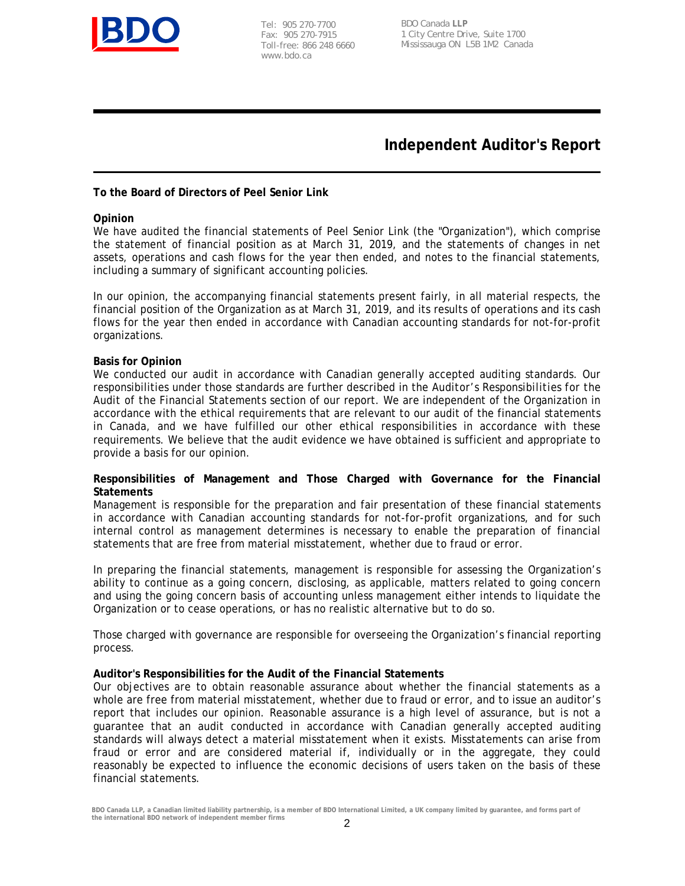

Tel: 905 270-7700 Fax: 905 270-7915 Toll-free: 866 248 6660 www.bdo.ca

BDO Canada **LLP** 1 City Centre Drive, Suite 1700 Mississauga ON L5B 1M2 Canada

## **Independent Auditor's Report**

#### **To the Board of Directors of Peel Senior Link**

#### **Opinion**

We have audited the financial statements of Peel Senior Link (the "Organization"), which comprise the statement of financial position as at March 31, 2019, and the statements of changes in net assets, operations and cash flows for the year then ended, and notes to the financial statements, including a summary of significant accounting policies.

In our opinion, the accompanying financial statements present fairly, in all material respects, the financial position of the Organization as at March 31, 2019, and its results of operations and its cash flows for the year then ended in accordance with Canadian accounting standards for not-for-profit organizations.

#### **Basis for Opinion**

We conducted our audit in accordance with Canadian generally accepted auditing standards. Our responsibilities under those standards are further described in the *Auditor's Responsibilities for the Audit of the Financial Statements* section of our report. We are independent of the Organization in accordance with the ethical requirements that are relevant to our audit of the financial statements in Canada, and we have fulfilled our other ethical responsibilities in accordance with these requirements. We believe that the audit evidence we have obtained is sufficient and appropriate to provide a basis for our opinion.

#### **Responsibilities of Management and Those Charged with Governance for the Financial Statements**

Management is responsible for the preparation and fair presentation of these financial statements in accordance with Canadian accounting standards for not-for-profit organizations, and for such internal control as management determines is necessary to enable the preparation of financial statements that are free from material misstatement, whether due to fraud or error.

In preparing the financial statements, management is responsible for assessing the Organization's ability to continue as a going concern, disclosing, as applicable, matters related to going concern and using the going concern basis of accounting unless management either intends to liquidate the Organization or to cease operations, or has no realistic alternative but to do so.

Those charged with governance are responsible for overseeing the Organization's financial reporting process.

#### **Auditor's Responsibilities for the Audit of the Financial Statements**

Our objectives are to obtain reasonable assurance about whether the financial statements as a whole are free from material misstatement, whether due to fraud or error, and to issue an auditor's report that includes our opinion. Reasonable assurance is a high level of assurance, but is not a guarantee that an audit conducted in accordance with Canadian generally accepted auditing standards will always detect a material misstatement when it exists. Misstatements can arise from fraud or error and are considered material if, individually or in the aggregate, they could reasonably be expected to influence the economic decisions of users taken on the basis of these financial statements.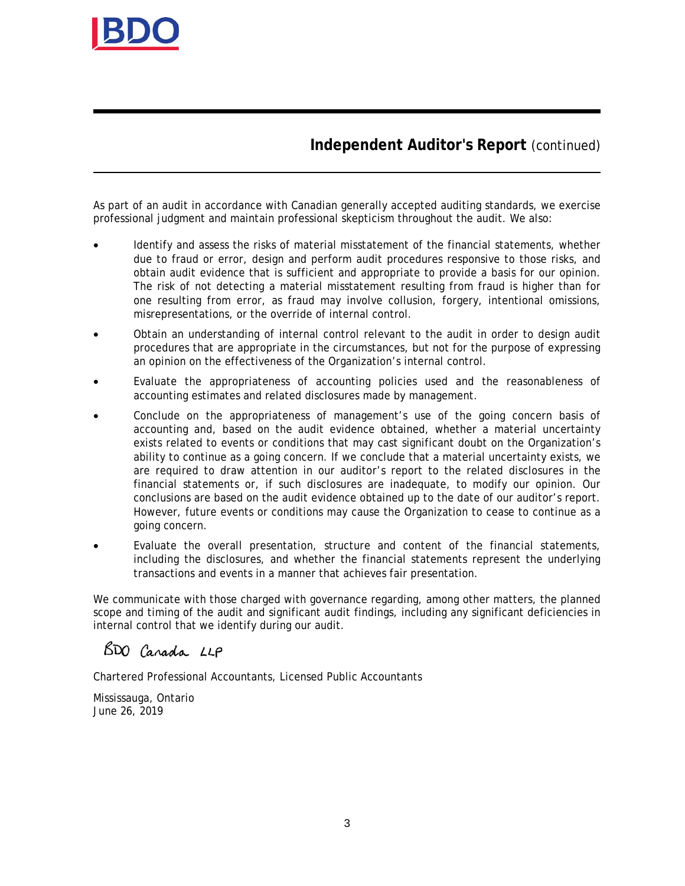

**Independent Auditor's Report** (continued)

As part of an audit in accordance with Canadian generally accepted auditing standards, we exercise professional judgment and maintain professional skepticism throughout the audit. We also:

- Identify and assess the risks of material misstatement of the financial statements, whether due to fraud or error, design and perform audit procedures responsive to those risks, and obtain audit evidence that is sufficient and appropriate to provide a basis for our opinion. The risk of not detecting a material misstatement resulting from fraud is higher than for one resulting from error, as fraud may involve collusion, forgery, intentional omissions, misrepresentations, or the override of internal control.
- Obtain an understanding of internal control relevant to the audit in order to design audit procedures that are appropriate in the circumstances, but not for the purpose of expressing an opinion on the effectiveness of the Organization's internal control.
- Evaluate the appropriateness of accounting policies used and the reasonableness of accounting estimates and related disclosures made by management.
- Conclude on the appropriateness of management's use of the going concern basis of accounting and, based on the audit evidence obtained, whether a material uncertainty exists related to events or conditions that may cast significant doubt on the Organization's ability to continue as a going concern. If we conclude that a material uncertainty exists, we are required to draw attention in our auditor's report to the related disclosures in the financial statements or, if such disclosures are inadequate, to modify our opinion. Our conclusions are based on the audit evidence obtained up to the date of our auditor's report. However, future events or conditions may cause the Organization to cease to continue as a going concern.
- Evaluate the overall presentation, structure and content of the financial statements, including the disclosures, and whether the financial statements represent the underlying transactions and events in a manner that achieves fair presentation.

We communicate with those charged with governance regarding, among other matters, the planned scope and timing of the audit and significant audit findings, including any significant deficiencies in internal control that we identify during our audit.

# BDO Canada LLP

Chartered Professional Accountants, Licensed Public Accountants

Mississauga, Ontario June 26, 2019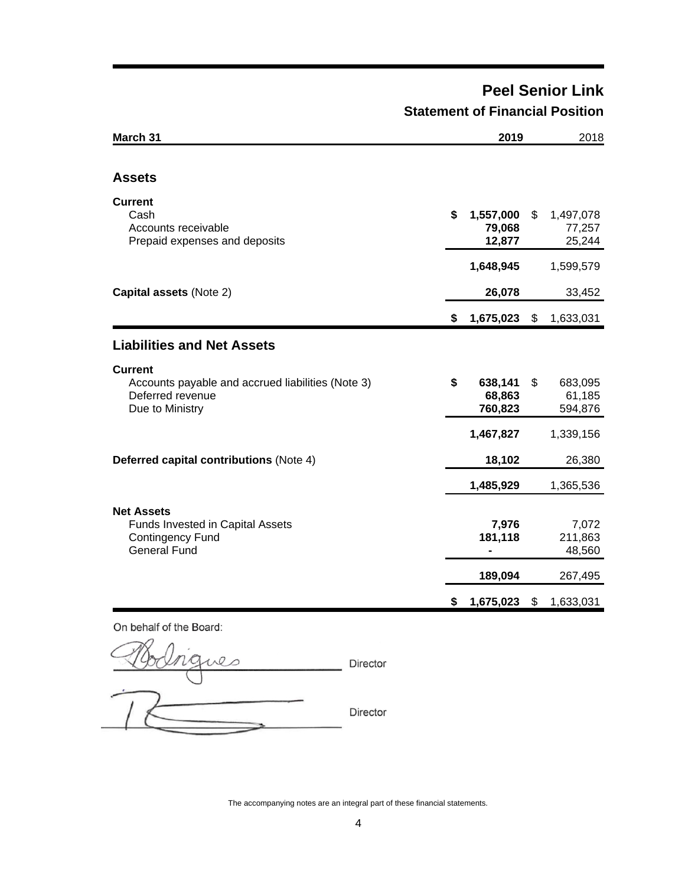**Peel Senior Link Statement of Financial Position**

| March 31                                                                                                   | 2019                                |      | 2018                          |
|------------------------------------------------------------------------------------------------------------|-------------------------------------|------|-------------------------------|
| <b>Assets</b>                                                                                              |                                     |      |                               |
| <b>Current</b><br>Cash<br>Accounts receivable<br>Prepaid expenses and deposits                             | \$<br>1,557,000<br>79,068<br>12,877 | \$   | 1,497,078<br>77,257<br>25,244 |
|                                                                                                            | 1,648,945                           |      | 1,599,579                     |
| Capital assets (Note 2)                                                                                    | 26,078                              |      | 33,452                        |
|                                                                                                            | \$<br>1,675,023                     | - \$ | 1,633,031                     |
| <b>Liabilities and Net Assets</b>                                                                          |                                     |      |                               |
| <b>Current</b><br>Accounts payable and accrued liabilities (Note 3)<br>Deferred revenue<br>Due to Ministry | \$<br>638,141<br>68,863<br>760,823  | \$   | 683,095<br>61,185<br>594,876  |
|                                                                                                            | 1,467,827                           |      | 1,339,156                     |
| Deferred capital contributions (Note 4)                                                                    | 18,102                              |      | 26,380                        |
|                                                                                                            | 1,485,929                           |      | 1,365,536                     |
| <b>Net Assets</b><br>Funds Invested in Capital Assets<br><b>Contingency Fund</b><br><b>General Fund</b>    | 7,976<br>181,118                    |      | 7,072<br>211,863<br>48,560    |
|                                                                                                            | 189,094                             |      | 267,495                       |
|                                                                                                            | \$<br>1,675,023                     | - \$ | 1,633,031                     |
|                                                                                                            |                                     |      |                               |

On behalf of the Board:

Jourgues Director Director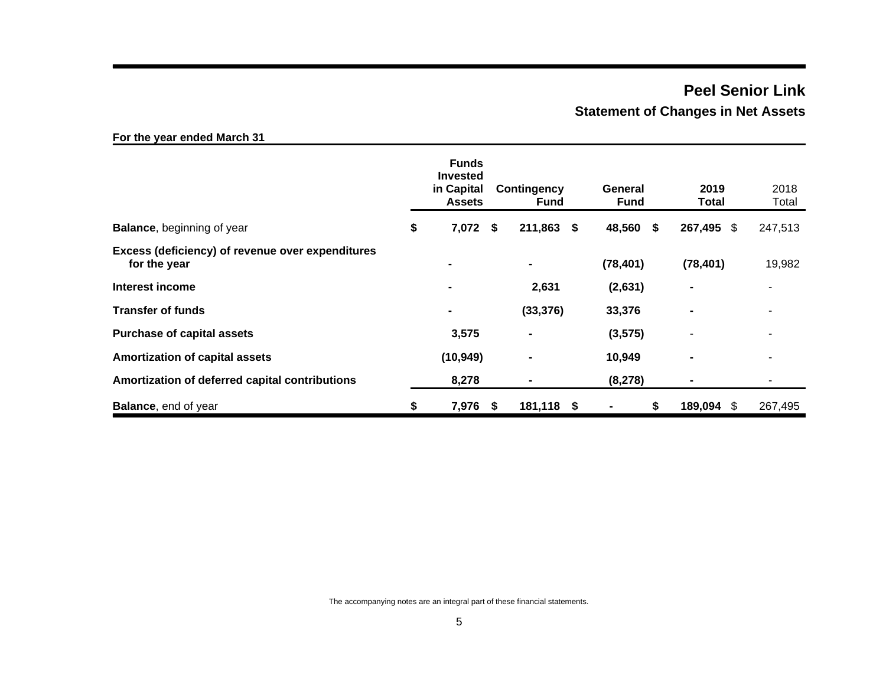## **Peel Senior Link Statement of Changes in Net Assets**

|                                                                  | <b>Funds</b><br><b>Invested</b><br>in Capital<br><b>Assets</b> |     | <b>Contingency</b><br><b>Fund</b> | General<br><b>Fund</b> | 2019<br>Total            | 2018<br>Total |
|------------------------------------------------------------------|----------------------------------------------------------------|-----|-----------------------------------|------------------------|--------------------------|---------------|
| <b>Balance, beginning of year</b>                                | \$<br>7,072                                                    | \$  | 211,863 \$                        | 48,560 \$              | 267,495 \$               | 247,513       |
| Excess (deficiency) of revenue over expenditures<br>for the year | $\blacksquare$                                                 |     | $\blacksquare$                    | (78, 401)              | (78, 401)                | 19,982        |
| Interest income                                                  |                                                                |     | 2,631                             | (2,631)                | $\blacksquare$           |               |
| <b>Transfer of funds</b>                                         | $\blacksquare$                                                 |     | (33, 376)                         | 33,376                 | $\blacksquare$           |               |
| <b>Purchase of capital assets</b>                                | 3,575                                                          |     |                                   | (3, 575)               | $\overline{\phantom{a}}$ |               |
| <b>Amortization of capital assets</b>                            | (10, 949)                                                      |     | $\blacksquare$                    | 10,949                 | $\blacksquare$           |               |
| Amortization of deferred capital contributions                   | 8,278                                                          |     |                                   | (8, 278)               | $\blacksquare$           |               |
| <b>Balance, end of year</b>                                      | \$<br>7,976                                                    | - 5 | 181,118 \$                        | \$                     | 189,094<br>- \$          | 267,495       |

### **For the year ended March 31**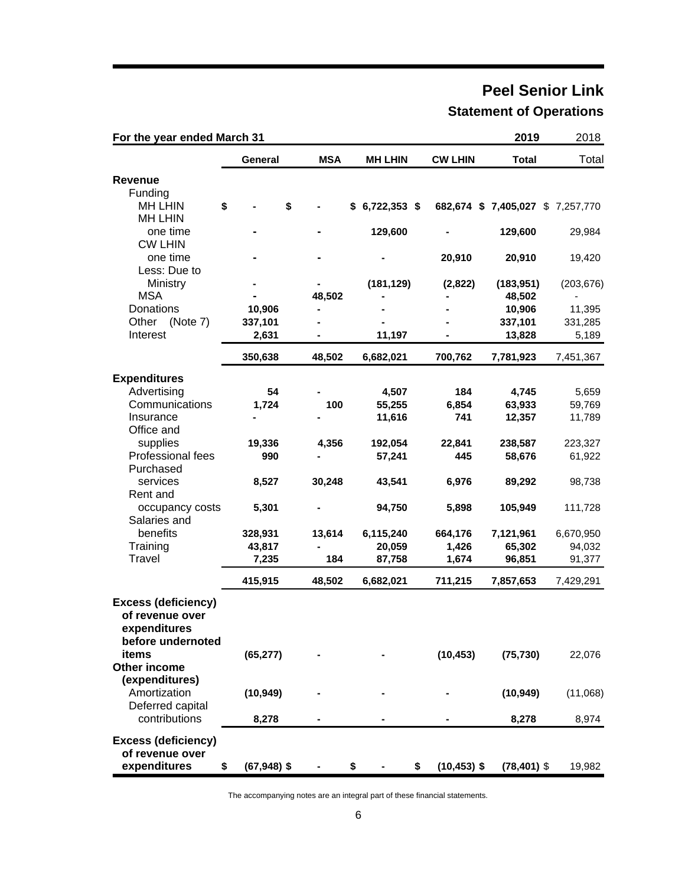# **Peel Senior Link Statement of Operations**

| For the year ended March 31       |                     |            |                 |                      | 2019           | 2018                            |
|-----------------------------------|---------------------|------------|-----------------|----------------------|----------------|---------------------------------|
|                                   | General             | <b>MSA</b> | <b>MH LHIN</b>  | <b>CW LHIN</b>       | <b>Total</b>   | Total                           |
| <b>Revenue</b>                    |                     |            |                 |                      |                |                                 |
| Funding                           |                     |            |                 |                      |                |                                 |
| <b>MH LHIN</b>                    | \$                  | \$         | $$6,722,353$ \$ |                      |                | 682,674 \$7,405,027 \$7,257,770 |
| <b>MH LHIN</b>                    |                     |            |                 |                      |                |                                 |
| one time                          |                     |            | 129,600         |                      | 129,600        | 29,984                          |
| <b>CW LHIN</b>                    |                     |            |                 |                      |                |                                 |
| one time                          |                     |            |                 | 20,910               | 20,910         | 19,420                          |
| Less: Due to                      |                     |            |                 |                      |                |                                 |
| Ministry                          |                     |            | (181, 129)      | (2,822)              | (183, 951)     | (203, 676)                      |
| <b>MSA</b>                        |                     | 48,502     |                 |                      | 48,502         |                                 |
| Donations                         | 10,906              |            |                 |                      | 10,906         | 11,395                          |
| (Note 7)<br>Other                 | 337,101             |            |                 |                      | 337,101        | 331,285                         |
| Interest                          | 2,631               |            | 11,197          |                      | 13,828         | 5,189                           |
|                                   |                     |            |                 |                      |                |                                 |
|                                   | 350,638             | 48,502     | 6,682,021       | 700,762              | 7,781,923      | 7,451,367                       |
| <b>Expenditures</b>               |                     |            |                 |                      |                |                                 |
| Advertising                       | 54                  |            | 4,507           | 184                  | 4,745          | 5,659                           |
| Communications                    | 1,724               | 100        | 55,255          | 6,854                | 63,933         | 59,769                          |
| Insurance                         |                     |            | 11,616          | 741                  | 12,357         | 11,789                          |
| Office and                        |                     |            |                 |                      |                |                                 |
| supplies                          | 19,336              | 4,356      | 192,054         | 22,841               | 238,587        | 223,327                         |
| Professional fees                 | 990                 |            | 57,241          | 445                  | 58,676         | 61,922                          |
| Purchased                         |                     |            |                 |                      |                |                                 |
| services                          | 8,527               | 30,248     | 43,541          | 6,976                | 89,292         | 98,738                          |
| Rent and                          |                     |            |                 |                      |                |                                 |
| occupancy costs                   | 5,301               |            | 94,750          | 5,898                | 105,949        | 111,728                         |
| Salaries and                      |                     |            |                 |                      |                |                                 |
| benefits                          | 328,931             | 13,614     | 6,115,240       | 664,176              | 7,121,961      | 6,670,950                       |
| Training                          | 43,817              | ÷,         | 20,059          | 1,426                | 65,302         | 94,032                          |
| Travel                            | 7,235               | 184        | 87,758          | 1,674                | 96,851         | 91,377                          |
|                                   | 415,915             | 48,502     | 6,682,021       | 711,215              | 7,857,653      | 7,429,291                       |
|                                   |                     |            |                 |                      |                |                                 |
| <b>Excess (deficiency)</b>        |                     |            |                 |                      |                |                                 |
| of revenue over                   |                     |            |                 |                      |                |                                 |
| expenditures                      |                     |            |                 |                      |                |                                 |
| before undernoted                 |                     |            |                 |                      |                |                                 |
| items                             | (65, 277)           |            |                 | (10, 453)            | (75, 730)      | 22,076                          |
| Other income                      |                     |            |                 |                      |                |                                 |
| (expenditures)<br>Amortization    |                     |            |                 |                      |                |                                 |
|                                   | (10, 949)           |            |                 |                      | (10, 949)      | (11,068)                        |
| Deferred capital<br>contributions | 8,278               |            |                 |                      | 8,278          | 8,974                           |
|                                   |                     |            |                 |                      |                |                                 |
| <b>Excess (deficiency)</b>        |                     |            |                 |                      |                |                                 |
| of revenue over                   |                     |            |                 |                      |                |                                 |
| expenditures                      | \$<br>$(67,948)$ \$ |            | \$              | \$<br>$(10, 453)$ \$ | $(78, 401)$ \$ | 19,982                          |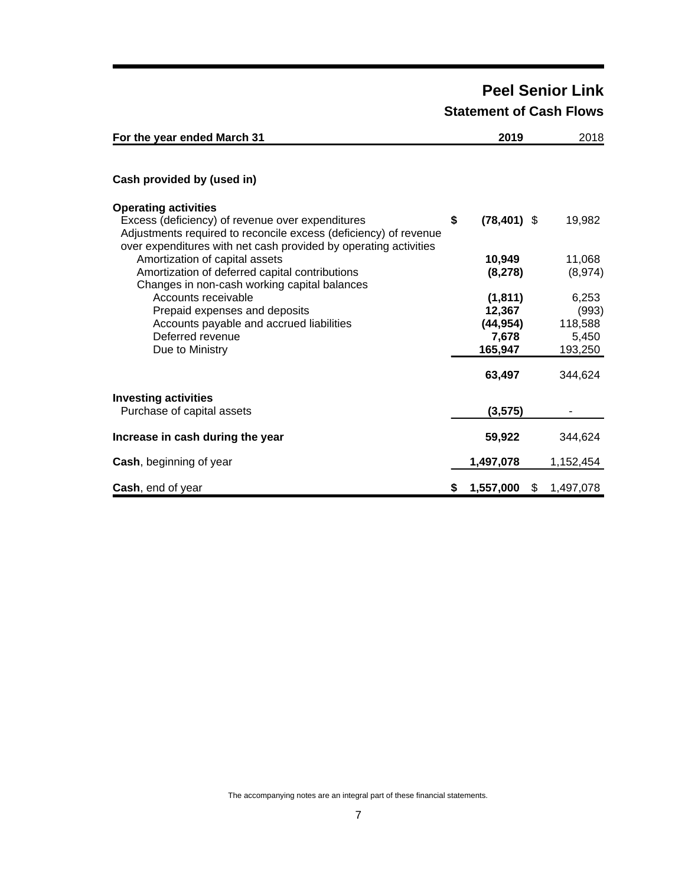**Peel Senior Link Statement of Cash Flows**

| For the year ended March 31                                                                                                                                                                                             | 2019                           | 2018                      |
|-------------------------------------------------------------------------------------------------------------------------------------------------------------------------------------------------------------------------|--------------------------------|---------------------------|
| Cash provided by (used in)                                                                                                                                                                                              |                                |                           |
| <b>Operating activities</b><br>Excess (deficiency) of revenue over expenditures<br>Adjustments required to reconcile excess (deficiency) of revenue<br>over expenditures with net cash provided by operating activities | \$<br>$(78, 401)$ \$           | 19,982                    |
| Amortization of capital assets<br>Amortization of deferred capital contributions<br>Changes in non-cash working capital balances                                                                                        | 10,949<br>(8,278)              | 11,068<br>(8,974)         |
| Accounts receivable<br>Prepaid expenses and deposits<br>Accounts payable and accrued liabilities                                                                                                                        | (1, 811)<br>12,367<br>(44,954) | 6,253<br>(993)<br>118,588 |
| Deferred revenue<br>Due to Ministry                                                                                                                                                                                     | 7,678<br>165,947               | 5,450<br>193,250          |
|                                                                                                                                                                                                                         | 63,497                         | 344,624                   |
| <b>Investing activities</b><br>Purchase of capital assets                                                                                                                                                               | (3, 575)                       |                           |
| Increase in cash during the year                                                                                                                                                                                        | 59,922                         | 344,624                   |
| <b>Cash, beginning of year</b>                                                                                                                                                                                          | 1,497,078                      | 1,152,454                 |
| Cash, end of year                                                                                                                                                                                                       | \$<br>1,557,000<br>\$          | 1,497,078                 |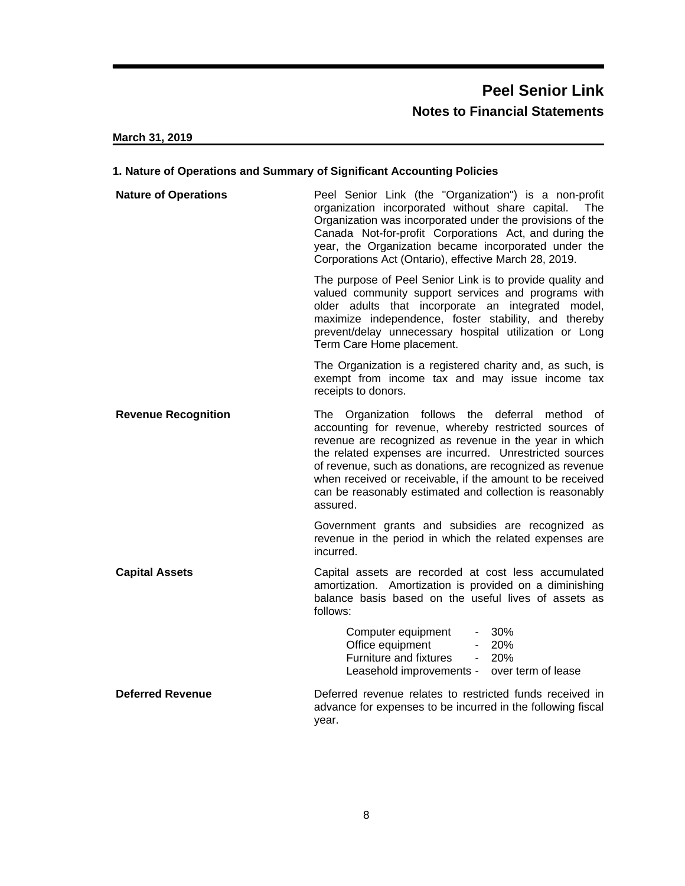### **March 31, 2019**

### **1. Nature of Operations and Summary of Significant Accounting Policies**

| <b>Nature of Operations</b> | Peel Senior Link (the "Organization") is a non-profit<br>organization incorporated without share capital.<br><b>The</b><br>Organization was incorporated under the provisions of the<br>Canada Not-for-profit Corporations Act, and during the<br>year, the Organization became incorporated under the<br>Corporations Act (Ontario), effective March 28, 2019.                                                                      |
|-----------------------------|--------------------------------------------------------------------------------------------------------------------------------------------------------------------------------------------------------------------------------------------------------------------------------------------------------------------------------------------------------------------------------------------------------------------------------------|
|                             | The purpose of Peel Senior Link is to provide quality and<br>valued community support services and programs with<br>older adults that incorporate an integrated model,<br>maximize independence, foster stability, and thereby<br>prevent/delay unnecessary hospital utilization or Long<br>Term Care Home placement.                                                                                                                |
|                             | The Organization is a registered charity and, as such, is<br>exempt from income tax and may issue income tax<br>receipts to donors.                                                                                                                                                                                                                                                                                                  |
| <b>Revenue Recognition</b>  | The Organization follows the deferral<br>method<br>οf<br>accounting for revenue, whereby restricted sources of<br>revenue are recognized as revenue in the year in which<br>the related expenses are incurred. Unrestricted sources<br>of revenue, such as donations, are recognized as revenue<br>when received or receivable, if the amount to be received<br>can be reasonably estimated and collection is reasonably<br>assured. |
|                             | Government grants and subsidies are recognized as<br>revenue in the period in which the related expenses are<br>incurred.                                                                                                                                                                                                                                                                                                            |
| <b>Capital Assets</b>       | Capital assets are recorded at cost less accumulated<br>amortization. Amortization is provided on a diminishing<br>balance basis based on the useful lives of assets as<br>follows:                                                                                                                                                                                                                                                  |
|                             | $-30%$<br>Computer equipment<br>Office equipment<br>20%<br>Furniture and fixtures<br>20%<br>$\sim$<br>Leasehold improvements - over term of lease                                                                                                                                                                                                                                                                                    |
| <b>Deferred Revenue</b>     | Deferred revenue relates to restricted funds received in<br>advance for expenses to be incurred in the following fiscal                                                                                                                                                                                                                                                                                                              |

year.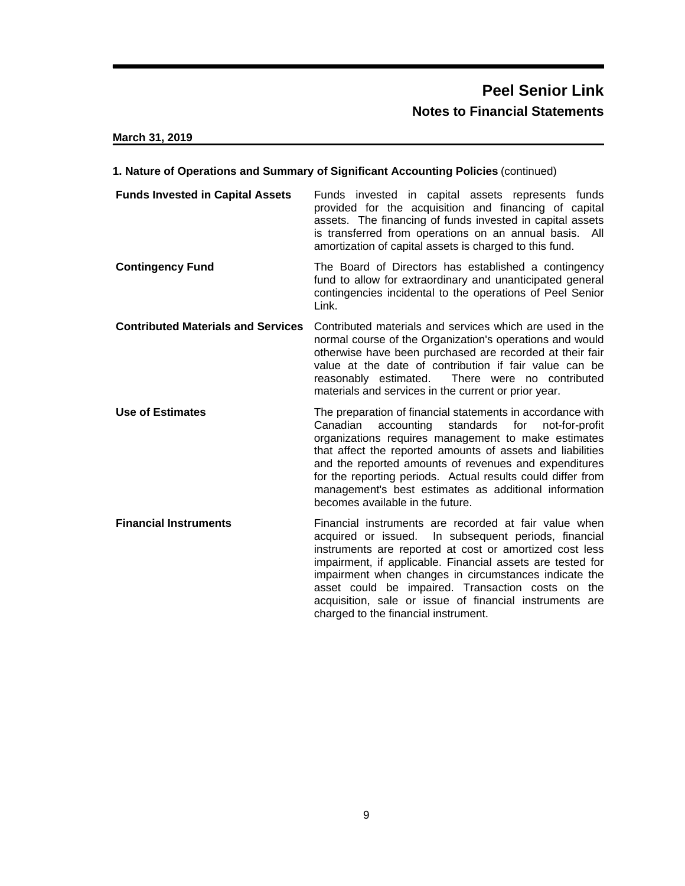#### **March 31, 2019**

#### **1. Nature of Operations and Summary of Significant Accounting Policies** (continued)

**Funds Invested in Capital Assets** Funds invested in capital assets represents funds provided for the acquisition and financing of capital assets. The financing of funds invested in capital assets is transferred from operations on an annual basis. All amortization of capital assets is charged to this fund.

- **Contingency Fund** The Board of Directors has established a contingency fund to allow for extraordinary and unanticipated general contingencies incidental to the operations of Peel Senior Link.
- **Contributed Materials and Services** Contributed materials and services which are used in the normal course of the Organization's operations and would otherwise have been purchased are recorded at their fair value at the date of contribution if fair value can be reasonably estimated. There were no contributed materials and services in the current or prior year.
- **Use of Estimates** The preparation of financial statements in accordance with Canadian accounting standards for not-for-profit organizations requires management to make estimates that affect the reported amounts of assets and liabilities and the reported amounts of revenues and expenditures for the reporting periods. Actual results could differ from management's best estimates as additional information becomes available in the future.
- **Financial Instruments** Financial instruments are recorded at fair value when acquired or issued. In subsequent periods, financial instruments are reported at cost or amortized cost less impairment, if applicable. Financial assets are tested for impairment when changes in circumstances indicate the asset could be impaired. Transaction costs on the acquisition, sale or issue of financial instruments are charged to the financial instrument.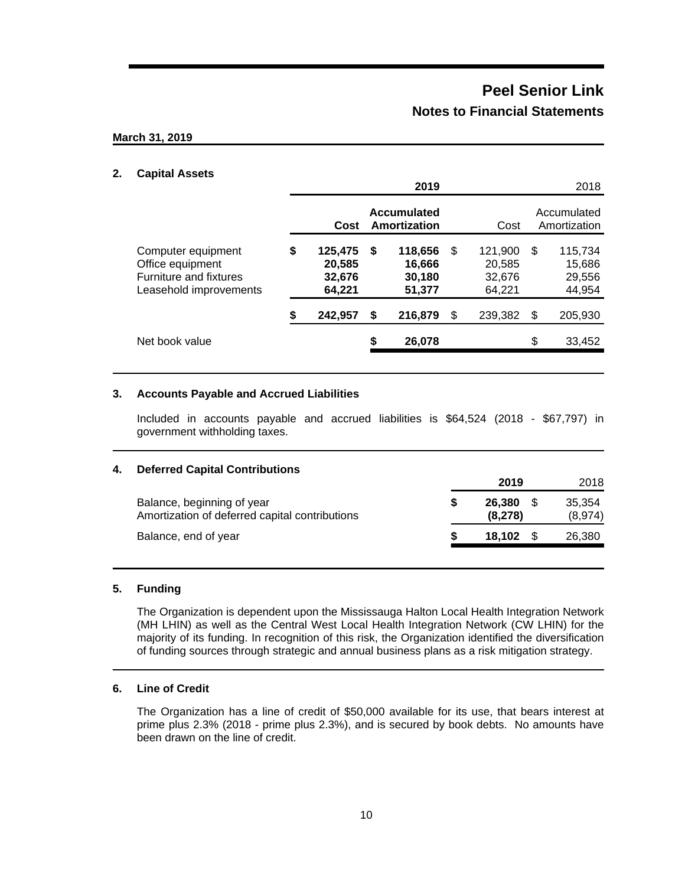# **Peel Senior Link Notes to Financial Statements**

#### **March 31, 2019**

#### **2. Capital Assets**

|    |                                       |    | 2019                                  |                                    |                                       | 2018                                        |
|----|---------------------------------------|----|---------------------------------------|------------------------------------|---------------------------------------|---------------------------------------------|
|    | Cost                                  |    |                                       |                                    | Cost                                  | Accumulated<br>Amortization                 |
| \$ | 125,475<br>20,585<br>32,676<br>64,221 | S  | 118,656<br>16,666<br>30,180<br>51,377 | S                                  | 121,900<br>20,585<br>32,676<br>64,221 | \$<br>115,734<br>15,686<br>29,556<br>44,954 |
| S  | 242,957                               | \$ | 216,879                               | \$                                 | 239,382                               | \$<br>205,930                               |
|    |                                       | \$ | 26,078                                |                                    |                                       | \$<br>33,452                                |
|    |                                       |    |                                       | <b>Accumulated</b><br>Amortization |                                       |                                             |

### **3. Accounts Payable and Accrued Liabilities**

Included in accounts payable and accrued liabilities is \$64,524 (2018 - \$67,797) in government withholding taxes.

| 4. | <b>Deferred Capital Contributions</b>                                        |  |                   |                   |
|----|------------------------------------------------------------------------------|--|-------------------|-------------------|
|    |                                                                              |  | 2019              | 2018              |
|    | Balance, beginning of year<br>Amortization of deferred capital contributions |  | 26.380<br>(8,278) | 35.354<br>(8,974) |
|    | Balance, end of year                                                         |  | 18.102            | 26,380            |
|    |                                                                              |  |                   |                   |

### **5. Funding**

The Organization is dependent upon the Mississauga Halton Local Health Integration Network (MH LHIN) as well as the Central West Local Health Integration Network (CW LHIN) for the majority of its funding. In recognition of this risk, the Organization identified the diversification of funding sources through strategic and annual business plans as a risk mitigation strategy.

#### **6. Line of Credit**

The Organization has a line of credit of \$50,000 available for its use, that bears interest at prime plus 2.3% (2018 - prime plus 2.3%), and is secured by book debts. No amounts have been drawn on the line of credit.